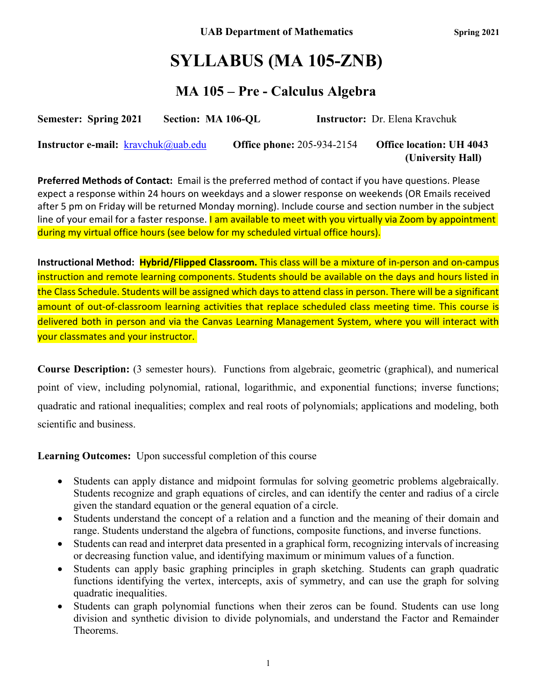# **SYLLABUS (MA 105-ZNB)**

## **MA 105 – Pre - Calculus Algebra**

| <b>Semester: Spring 2021</b> | Section: MA 106-OL | <b>Instructor:</b> Dr. Elena Kravchuk                                      |  |  |  |  |
|------------------------------|--------------------|----------------------------------------------------------------------------|--|--|--|--|
|                              |                    | $\bigcap_{n=1}^{\infty}$ $\bigcap_{n=1}^{\infty}$ $\bigcap_{n=1}^{\infty}$ |  |  |  |  |

**Instructor e-mail:**  $\frac{k \cdot \text{ravchuk}(\partial \text{uab.edu})}{k \cdot \text{robub}}$  Office phone: 205-934-2154 Office location: UH 4043  **(University Hall)**

**Preferred Methods of Contact:** Email is the preferred method of contact if you have questions. Please expect a response within 24 hours on weekdays and a slower response on weekends (OR Emails received after 5 pm on Friday will be returned Monday morning). Include course and section number in the subject line of your email for a faster response. I am available to meet with you virtually via Zoom by appointment during my virtual office hours (see below for my scheduled virtual office hours).

**Instructional Method:****Hybrid/Flipped Classroom.** This class will be a mixture of in-person and on-campus instruction and remote learning components. Students should be available on the days and hours listed in the Class Schedule. Students will be assigned which days to attend class in person. There will be a significant amount of out-of-classroom learning activities that replace scheduled class meeting time. This course is delivered both in person and via the Canvas Learning Management System, where you will interact with your classmates and your instructor.

**Course Description:** (3 semester hours). Functions from algebraic, geometric (graphical), and numerical point of view, including polynomial, rational, logarithmic, and exponential functions; inverse functions; quadratic and rational inequalities; complex and real roots of polynomials; applications and modeling, both scientific and business.

**Learning Outcomes:** Upon successful completion of this course

- Students can apply distance and midpoint formulas for solving geometric problems algebraically. Students recognize and graph equations of circles, and can identify the center and radius of a circle given the standard equation or the general equation of a circle.
- Students understand the concept of a relation and a function and the meaning of their domain and range. Students understand the algebra of functions, composite functions, and inverse functions.
- Students can read and interpret data presented in a graphical form, recognizing intervals of increasing or decreasing function value, and identifying maximum or minimum values of a function.
- Students can apply basic graphing principles in graph sketching. Students can graph quadratic functions identifying the vertex, intercepts, axis of symmetry, and can use the graph for solving quadratic inequalities.
- Students can graph polynomial functions when their zeros can be found. Students can use long division and synthetic division to divide polynomials, and understand the Factor and Remainder Theorems.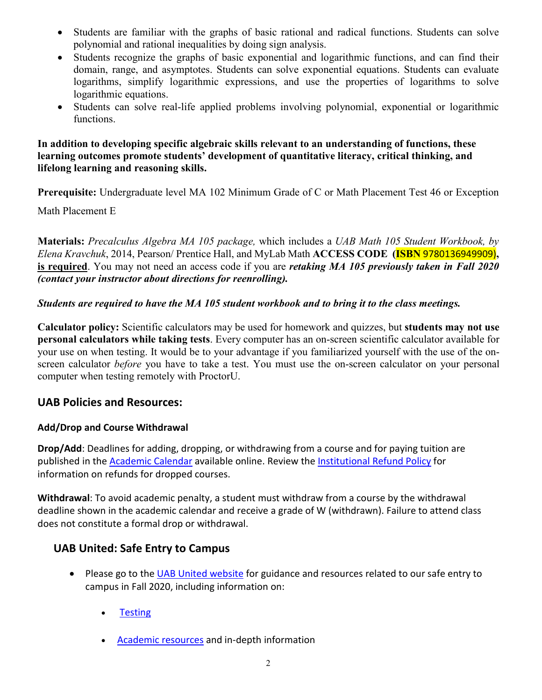- Students are familiar with the graphs of basic rational and radical functions. Students can solve polynomial and rational inequalities by doing sign analysis.
- Students recognize the graphs of basic exponential and logarithmic functions, and can find their domain, range, and asymptotes. Students can solve exponential equations. Students can evaluate logarithms, simplify logarithmic expressions, and use the properties of logarithms to solve logarithmic equations.
- Students can solve real-life applied problems involving polynomial, exponential or logarithmic functions.

### **In addition to developing specific algebraic skills relevant to an understanding of functions, these learning outcomes promote students' development of quantitative literacy, critical thinking, and lifelong learning and reasoning skills.**

**Prerequisite:** Undergraduate level MA 102 Minimum Grade of C or Math Placement Test 46 or Exception

Math Placement E

**Materials:** *Precalculus Algebra MA 105 package,* which includes a *UAB Math 105 Student Workbook, by Elena Kravchuk*, 2014, Pearson/ Prentice Hall, and MyLab Math **ACCESS CODE (ISBN** 9780136949909)**, is required**. You may not need an access code if you are *retaking MA 105 previously taken in Fall 2020 (contact your instructor about directions for reenrolling).*

### *Students are required to have the MA 105 student workbook and to bring it to the class meetings.*

**Calculator policy:** Scientific calculators may be used for homework and quizzes, but **students may not use personal calculators while taking tests**. Every computer has an on-screen scientific calculator available for your use on when testing. It would be to your advantage if you familiarized yourself with the use of the onscreen calculator *before* you have to take a test. You must use the on-screen calculator on your personal computer when testing remotely with ProctorU.

### **UAB Policies and Resources:**

### **Add/Drop and Course Withdrawal**

**Drop/Add**: Deadlines for adding, dropping, or withdrawing from a course and for paying tuition are published in th[e Academic Calendar](https://www.uab.edu/students/academics/academic-calendar) available online. Review the [Institutional Refund Policy](https://www.uab.edu/students/one-stop/policies/institutional-refund-policy) for information on refunds for dropped courses.

**Withdrawal**: To avoid academic penalty, a student must withdraw from a course by the withdrawal deadline shown in the academic calendar and receive a grade of W (withdrawn). Failure to attend class does not constitute a formal drop or withdrawal.

### **UAB United: Safe Entry to Campus**

- Please go to the [UAB United website](https://www.uab.edu/uabunited/students) for guidance and resources related to our safe entry to campus in Fall 2020, including information on:
	- **[Testing](https://www.uab.edu/uabunited/students/testing)**
	- [Academic resources](https://www.uab.edu/uabunited/students/academics) and in-depth information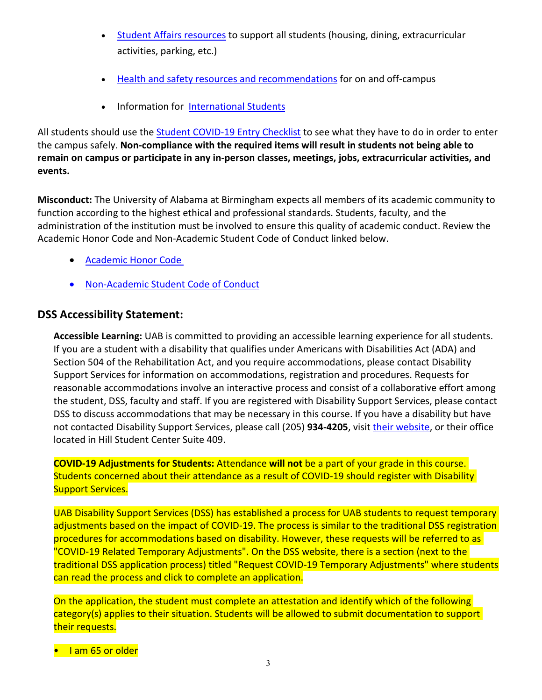- [Student Affairs resources](https://www.uab.edu/uabunited/students/student-affairs) to support all students (housing, dining, extracurricular activities, parking, etc.)
- [Health and safety resources and recommendations](https://www.uab.edu/uabunited/students/health-safety) for on and off-campus
- Information for [International Students](https://www.uab.edu/global/about/programs-services/isss/faqs-concerning-recent-sevp-guidance-and-covid-19-planning)

All students should use the [Student COVID-19 Entry Checklist](https://www.uab.edu/uabunited/entry-checklists#student-checklist) to see what they have to do in order to enter the campus safely. **Non-compliance with the required items will result in students not being able to remain on campus or participate in any in-person classes, meetings, jobs, extracurricular activities, and events.**

**Misconduct:** The University of Alabama at Birmingham expects all members of its academic community to function according to the highest ethical and professional standards. Students, faculty, and the administration of the institution must be involved to ensure this quality of academic conduct. Review the Academic Honor Code and Non-Academic Student Code of Conduct linked below.

- [Academic Honor Code](http://www.uab.edu/students/one-stop/policies/academic-honor-code)
- [Non-Academic Student Code of Conduct](http://www.uab.edu/studentconduct)

### **DSS Accessibility Statement:**

**Accessible Learning:** UAB is committed to providing an accessible learning experience for all students. If you are a student with a disability that qualifies under Americans with Disabilities Act (ADA) and Section 504 of the Rehabilitation Act, and you require accommodations, please contact Disability Support Services for information on accommodations, registration and procedures. Requests for reasonable accommodations involve an interactive process and consist of a collaborative effort among the student, DSS, faculty and staff. If you are registered with Disability Support Services, please contact DSS to discuss accommodations that may be necessary in this course. If you have a disability but have not contacted Disability Support Services, please call (205) **934-4205**, visit [their website,](http://www.uab.edu/dss) or their office located in Hill Student Center Suite 409.

**COVID-19 Adjustments for Students:** Attendance **will not** be a part of your grade in this course. Students concerned about their attendance as a result of COVID-19 should register with Disability Support Services.

UAB Disability Support Services (DSS) has established a process for UAB students to request temporary adjustments based on the impact of COVID-19. The process is similar to the traditional DSS registration procedures for accommodations based on disability. However, these requests will be referred to as "COVID-19 Related Temporary Adjustments". On the DSS website, there is a section (next to the traditional DSS application process) titled "Request COVID-19 Temporary Adjustments" where students can read the process and click to complete an application.

On the application, the student must complete an attestation and identify which of the following category(s) applies to their situation. Students will be allowed to submit documentation to support their requests.

• I am 65 or older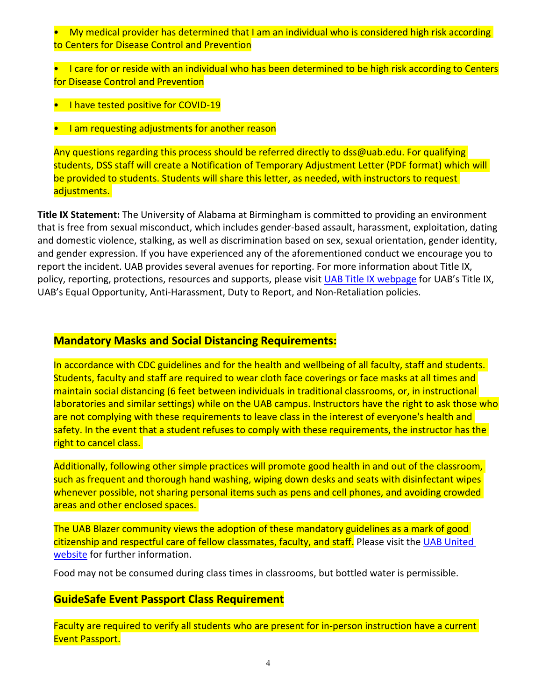• My medical provider has determined that I am an individual who is considered high risk according to Centers for Disease Control and Prevention

• I care for or reside with an individual who has been determined to be high risk according to Centers for Disease Control and Prevention

- I have tested positive for COVID-19
- I am requesting adjustments for another reason

Any questions regarding this process should be referred directly to dss@uab.edu. For qualifying students, DSS staff will create a Notification of Temporary Adjustment Letter (PDF format) which will be provided to students. Students will share this letter, as needed, with instructors to request adjustments.

**Title IX Statement:** The University of Alabama at Birmingham is committed to providing an environment that is free from sexual misconduct, which includes gender-based assault, harassment, exploitation, dating and domestic violence, stalking, as well as discrimination based on sex, sexual orientation, gender identity, and gender expression. If you have experienced any of the aforementioned conduct we encourage you to report the incident. UAB provides several avenues for reporting. For more information about Title IX, policy, reporting, protections, resources and supports, please visit [UAB Title IX webpage](http://www.uab.edu/titleix) for UAB's Title IX, UAB's Equal Opportunity, Anti-Harassment, Duty to Report, and Non-Retaliation policies.

### **Mandatory Masks and Social Distancing Requirements:**

In accordance with CDC guidelines and for the health and wellbeing of all faculty, staff and students. Students, faculty and staff are required to wear cloth face coverings or face masks at all times and maintain social distancing (6 feet between individuals in traditional classrooms, or, in instructional laboratories and similar settings) while on the UAB campus. Instructors have the right to ask those who are not complying with these requirements to leave class in the interest of everyone's health and safety. In the event that a student refuses to comply with these requirements, the instructor has the right to cancel class.

Additionally, following other simple practices will promote good health in and out of the classroom, such as frequent and thorough hand washing, wiping down desks and seats with disinfectant wipes whenever possible, not sharing personal items such as pens and cell phones, and avoiding crowded areas and other enclosed spaces.

The UAB Blazer community views the adoption of these mandatory guidelines as a mark of good citizenship and respectful care of fellow classmates, faculty, and staff. Please visit the UAB United [website](https://www.uab.edu/uabunited/students) for further information.

Food may not be consumed during class times in classrooms, but bottled water is permissible.

### **GuideSafe Event Passport Class Requirement**

Faculty are required to verify all students who are present for in-person instruction have a current Event Passport.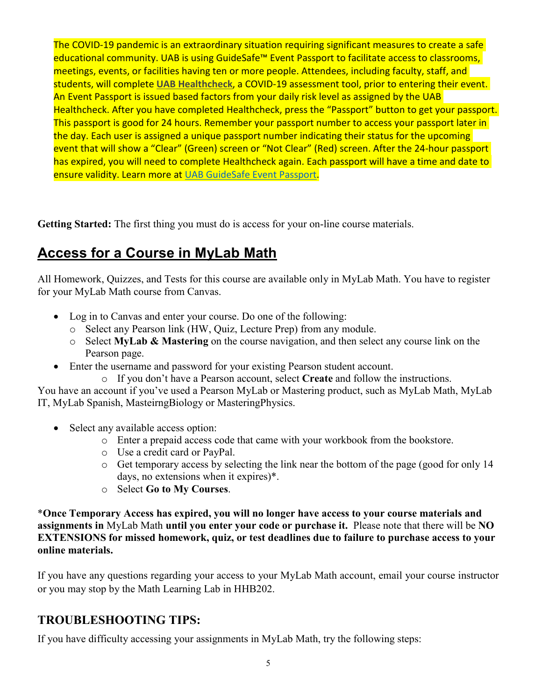The COVID-19 pandemic is an extraordinary situation requiring significant measures to create a safe educational community. UAB is using GuideSafe™ Event Passport to facilitate access to classrooms, meetings, events, or facilities having ten or more people. Attendees, including faculty, staff, and students, will complete **[UAB Healthcheck](https://www.uab.edu/uabunited/uab-healthcheck)**, a COVID-19 assessment tool, prior to entering their event. An Event Passport is issued based factors from your daily risk level as assigned by the UAB Healthcheck. After you have completed Healthcheck, press the "Passport" button to get your passport. This passport is good for 24 hours. Remember your passport number to access your passport later in the day. Each user is assigned a unique passport number indicating their status for the upcoming event that will show a "Clear" (Green) screen or "Not Clear" (Red) screen. After the 24-hour passport has expired, you will need to complete Healthcheck again. Each passport will have a time and date to ensure validity. Learn more at [UAB GuideSafe Event Passport.](https://www.uab.edu/uabunited/guidesafe-event-passport)

**Getting Started:** The first thing you must do is access for your on-line course materials.

## **Access for a Course in MyLab Math**

All Homework, Quizzes, and Tests for this course are available only in MyLab Math. You have to register for your MyLab Math course from Canvas.

- Log in to Canvas and enter your course. Do one of the following:
	- o Select any Pearson link (HW, Quiz, Lecture Prep) from any module.
	- o Select **MyLab & Mastering** on the course navigation, and then select any course link on the Pearson page.
- Enter the username and password for your existing Pearson student account.

o If you don't have a Pearson account, select **Create** and follow the instructions.

You have an account if you've used a Pearson MyLab or Mastering product, such as MyLab Math, MyLab IT, MyLab Spanish, MasteirngBiology or MasteringPhysics.

- Select any available access option:
	- o Enter a prepaid access code that came with your workbook from the bookstore.
	- o Use a credit card or PayPal.
	- o Get temporary access by selecting the link near the bottom of the page (good for only 14 days, no extensions when it expires)\*.
	- o Select **Go to My Courses**.

\***Once Temporary Access has expired, you will no longer have access to your course materials and assignments in** MyLab Math **until you enter your code or purchase it.** Please note that there will be **NO EXTENSIONS for missed homework, quiz, or test deadlines due to failure to purchase access to your online materials.**

If you have any questions regarding your access to your MyLab Math account, email your course instructor or you may stop by the Math Learning Lab in HHB202.

### **TROUBLESHOOTING TIPS:**

If you have difficulty accessing your assignments in MyLab Math, try the following steps: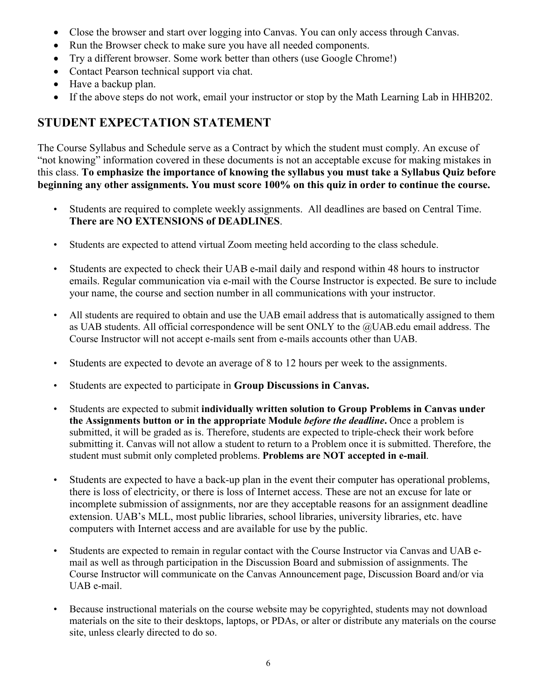- Close the browser and start over logging into Canvas. You can only access through Canvas.
- Run the Browser check to make sure you have all needed components.
- Try a different browser. Some work better than others (use Google Chrome!)
- Contact Pearson technical support via chat.
- Have a backup plan.
- If the above steps do not work, email your instructor or stop by the Math Learning Lab in HHB202.

### **STUDENT EXPECTATION STATEMENT**

The Course Syllabus and Schedule serve as a Contract by which the student must comply. An excuse of "not knowing" information covered in these documents is not an acceptable excuse for making mistakes in this class. **To emphasize the importance of knowing the syllabus you must take a Syllabus Quiz before beginning any other assignments. You must score 100% on this quiz in order to continue the course.**

- Students are required to complete weekly assignments. All deadlines are based on Central Time. **There are NO EXTENSIONS of DEADLINES**.
- Students are expected to attend virtual Zoom meeting held according to the class schedule.
- Students are expected to check their UAB e-mail daily and respond within 48 hours to instructor emails. Regular communication via e-mail with the Course Instructor is expected. Be sure to include your name, the course and section number in all communications with your instructor.
- All students are required to obtain and use the UAB email address that is automatically assigned to them as UAB students. All official correspondence will be sent ONLY to the @UAB.edu email address. The Course Instructor will not accept e-mails sent from e-mails accounts other than UAB.
- Students are expected to devote an average of 8 to 12 hours per week to the assignments.
- Students are expected to participate in **Group Discussions in Canvas.**
- Students are expected to submit **individually written solution to Group Problems in Canvas under the Assignments button or in the appropriate Module** *before the deadline***.** Once a problem is submitted, it will be graded as is. Therefore, students are expected to triple-check their work before submitting it. Canvas will not allow a student to return to a Problem once it is submitted. Therefore, the student must submit only completed problems. **Problems are NOT accepted in e-mail**.
- Students are expected to have a back-up plan in the event their computer has operational problems, there is loss of electricity, or there is loss of Internet access. These are not an excuse for late or incomplete submission of assignments, nor are they acceptable reasons for an assignment deadline extension. UAB's MLL, most public libraries, school libraries, university libraries, etc. have computers with Internet access and are available for use by the public.
- Students are expected to remain in regular contact with the Course Instructor via Canvas and UAB email as well as through participation in the Discussion Board and submission of assignments. The Course Instructor will communicate on the Canvas Announcement page, Discussion Board and/or via UAB e-mail.
- Because instructional materials on the course website may be copyrighted, students may not download materials on the site to their desktops, laptops, or PDAs, or alter or distribute any materials on the course site, unless clearly directed to do so.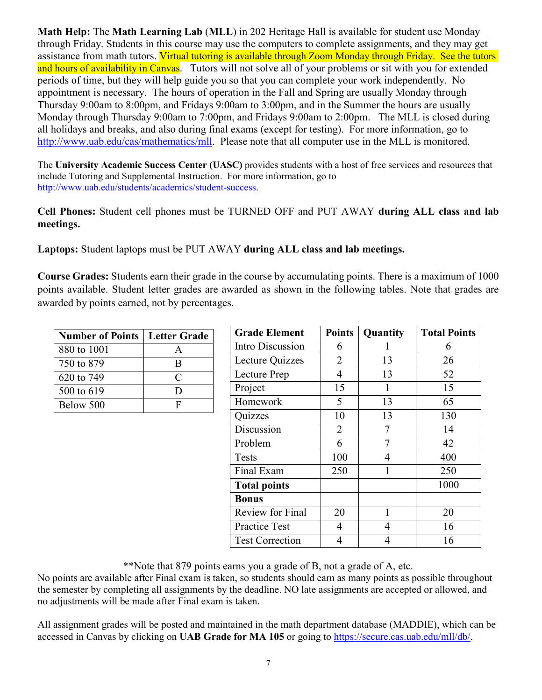**Math Help:** The **Math Learning Lab** (**MLL**) in 202 Heritage Hall is available for student use Monday through Friday. Students in this course may use the computers to complete assignments, and they may get assistance from math tutors. Virtual tutoring is available through Zoom Monday through Friday. See the tutors and hours of availability in Canvas. Tutors will not solve all of your problems or sit with you for extended periods of time, but they will help guide you so that you can complete your work independently. No appointment is necessary. The hours of operation in the Fall and Spring are usually Monday through Thursday 9:00am to 8:00pm, and Fridays 9:00am to 3:00pm, and in the Summer the hours are usually Monday through Thursday 9:00am to 7:00pm, and Fridays 9:00am to 2:00pm. The MLL is closed during all holidays and breaks, and also during final exams (except for testing). For more information, go to [http://www.uab.edu/cas/mathematics/mll.](http://www.uab.edu/cas/mathematics/mll) Please note that all computer use in the MLL is monitored.

The **University Academic Success Center (UASC)** provides students with a host of free services and resources that include Tutoring and Supplemental Instruction. For more information, go to [http://www.uab.edu/students/academics/student-success.](http://www.uab.edu/students/academics/student-success)

**Cell Phones:** Student cell phones must be TURNED OFF and PUT AWAY **during ALL class and lab meetings.**

**Laptops:** Student laptops must be PUT AWAY **during ALL class and lab meetings.**

**Course Grades:** Students earn their grade in the course by accumulating points. There is a maximum of 1000 points available. Student letter grades are awarded as shown in the following tables. Note that grades are awarded by points earned, not by percentages.

| <b>Number of Points   Letter Grade</b> |     |
|----------------------------------------|-----|
| 880 to 1001                            |     |
| 750 to 879                             | R   |
| 620 to 749                             | C   |
| 500 to 619                             | נ ו |
| Below 500                              | F   |

| <b>Grade Element</b>   | <b>Points</b> | Quantity | <b>Total Points</b> |
|------------------------|---------------|----------|---------------------|
| Intro Discussion       | 6             |          | 6                   |
| Lecture Quizzes        | 2             | 13       | 26                  |
| Lecture Prep           | 4             | 13       | 52                  |
| Project                | 15            | 1        | 15                  |
| Homework               | 5             | 13       | 65                  |
| Quizzes                | 10            | 13       | 130                 |
| Discussion             | 2             | 7        | 14                  |
| Problem                | 6             | 7        | 42                  |
| <b>Tests</b>           | 100           | 4        | 400                 |
| Final Exam             | 250           | 1        | 250                 |
| <b>Total points</b>    |               |          | 1000                |
| <b>Bonus</b>           |               |          |                     |
| Review for Final       | 20            | 1        | 20                  |
| <b>Practice Test</b>   | 4             | 4        | 16                  |
| <b>Test Correction</b> | 4             | 4        | 16                  |

\*\*Note that 879 points earns you a grade of B, not a grade of A, etc.

No points are available after Final exam is taken, so students should earn as many points as possible throughout the semester by completing all assignments by the deadline. NO late assignments are accepted or allowed, and no adjustments will be made after Final exam is taken.

All assignment grades will be posted and maintained in the math department database (MADDIE), which can be accessed in Canvas by clicking on **UAB Grade for MA 105** or going to https://secure.cas.uab.edu/mll/db/.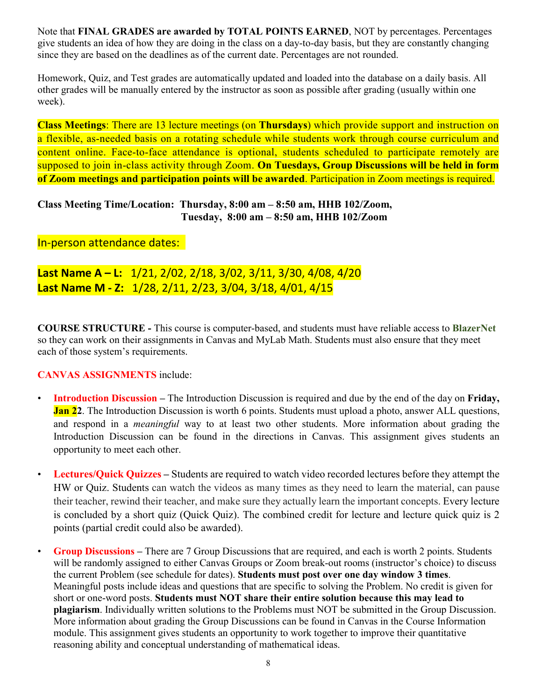Note that **FINAL GRADES are awarded by TOTAL POINTS EARNED**, NOT by percentages. Percentages give students an idea of how they are doing in the class on a day-to-day basis, but they are constantly changing since they are based on the deadlines as of the current date. Percentages are not rounded.

Homework, Quiz, and Test grades are automatically updated and loaded into the database on a daily basis. All other grades will be manually entered by the instructor as soon as possible after grading (usually within one week).

**Class Meetings**: There are 13 lecture meetings (on **Thursdays**) which provide support and instruction on a flexible, as-needed basis on a rotating schedule while students work through course curriculum and content online. Face-to-face attendance is optional, students scheduled to participate remotely are supposed to join in-class activity through Zoom. **On Tuesdays, Group Discussions will be held in form of Zoom meetings and participation points will be awarded**. Participation in Zoom meetings is required.

**Class Meeting Time/Location: Thursday, 8:00 am – 8:50 am, HHB 102/Zoom, Tuesday, 8:00 am – 8:50 am, HHB 102/Zoom**

### In-person attendance dates:

**Last Name A – L:** 1/21, 2/02, 2/18, 3/02, 3/11, 3/30, 4/08, 4/20 **Last Name M - Z:** 1/28, 2/11, 2/23, 3/04, 3/18, 4/01, 4/15

**COURSE STRUCTURE -** This course is computer-based, and students must have reliable access to **BlazerNet** so they can work on their assignments in Canvas and MyLab Math. Students must also ensure that they meet each of those system's requirements.

#### **CANVAS ASSIGNMENTS** include:

- **Introduction Discussion –** The Introduction Discussion is required and due by the end of the day on **Friday, Jan 22**. The Introduction Discussion is worth 6 points. Students must upload a photo, answer ALL questions, and respond in a *meaningful* way to at least two other students. More information about grading the Introduction Discussion can be found in the directions in Canvas. This assignment gives students an opportunity to meet each other.
- **Lectures/Quick Quizzes –** Students are required to watch video recorded lectures before they attempt the HW or Quiz. Students can watch the videos as many times as they need to learn the material, can pause their teacher, rewind their teacher, and make sure they actually learn the important concepts. Every lecture is concluded by a short quiz (Quick Quiz). The combined credit for lecture and lecture quick quiz is 2 points (partial credit could also be awarded).
- **Group Discussions –** There are 7 Group Discussions that are required, and each is worth 2 points. Students will be randomly assigned to either Canvas Groups or Zoom break-out rooms (instructor's choice) to discuss the current Problem (see schedule for dates). **Students must post over one day window 3 times**. Meaningful posts include ideas and questions that are specific to solving the Problem. No credit is given for short or one-word posts. **Students must NOT share their entire solution because this may lead to plagiarism**. Individually written solutions to the Problems must NOT be submitted in the Group Discussion. More information about grading the Group Discussions can be found in Canvas in the Course Information module. This assignment gives students an opportunity to work together to improve their quantitative reasoning ability and conceptual understanding of mathematical ideas.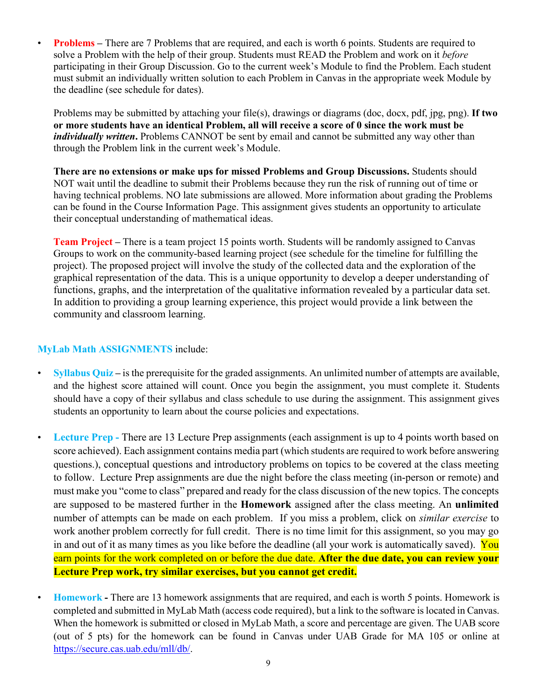• **Problems** – There are 7 Problems that are required, and each is worth 6 points. Students are required to solve a Problem with the help of their group. Students must READ the Problem and work on it *before*  participating in their Group Discussion. Go to the current week's Module to find the Problem. Each student must submit an individually written solution to each Problem in Canvas in the appropriate week Module by the deadline (see schedule for dates).

Problems may be submitted by attaching your file(s), drawings or diagrams (doc, docx, pdf, jpg, png). **If two or more students have an identical Problem, all will receive a score of 0 since the work must be**  *individually written*. Problems CANNOT be sent by email and cannot be submitted any way other than through the Problem link in the current week's Module.

**There are no extensions or make ups for missed Problems and Group Discussions.** Students should NOT wait until the deadline to submit their Problems because they run the risk of running out of time or having technical problems. NO late submissions are allowed. More information about grading the Problems can be found in the Course Information Page. This assignment gives students an opportunity to articulate their conceptual understanding of mathematical ideas.

**Team Project –** There is a team project 15 points worth. Students will be randomly assigned to Canvas Groups to work on the community-based learning project (see schedule for the timeline for fulfilling the project). The proposed project will involve the study of the collected data and the exploration of the graphical representation of the data. This is a unique opportunity to develop a deeper understanding of functions, graphs, and the interpretation of the qualitative information revealed by a particular data set. In addition to providing a group learning experience, this project would provide a link between the community and classroom learning.

### **MyLab Math ASSIGNMENTS** include:

- **Syllabus Quiz –** is the prerequisite for the graded assignments. An unlimited number of attempts are available, and the highest score attained will count. Once you begin the assignment, you must complete it. Students should have a copy of their syllabus and class schedule to use during the assignment. This assignment gives students an opportunity to learn about the course policies and expectations.
- **Lecture Prep -** There are 13 Lecture Prep assignments (each assignment is up to 4 points worth based on score achieved). Each assignment contains media part (which students are required to work before answering questions.), conceptual questions and introductory problems on topics to be covered at the class meeting to follow. Lecture Prep assignments are due the night before the class meeting (in-person or remote) and must make you "come to class" prepared and ready for the class discussion of the new topics. The concepts are supposed to be mastered further in the **Homework** assigned after the class meeting. An **unlimited** number of attempts can be made on each problem. If you miss a problem, click on *similar exercise* to work another problem correctly for full credit. There is no time limit for this assignment, so you may go in and out of it as many times as you like before the deadline (all your work is automatically saved). You earn points for the work completed on or before the due date. **After the due date, you can review your Lecture Prep work, try similar exercises, but you cannot get credit.**
	- **Homework -** There are 13 homework assignments that are required, and each is worth 5 points. Homework is completed and submitted in MyLab Math (access code required), but a link to the software is located in Canvas. When the homework is submitted or closed in MyLab Math, a score and percentage are given. The UAB score (out of 5 pts) for the homework can be found in Canvas under UAB Grade for MA 105 or online at [https://secure.cas.uab.edu/mll/db/.](https://secure.cas.uab.edu/mll/db/)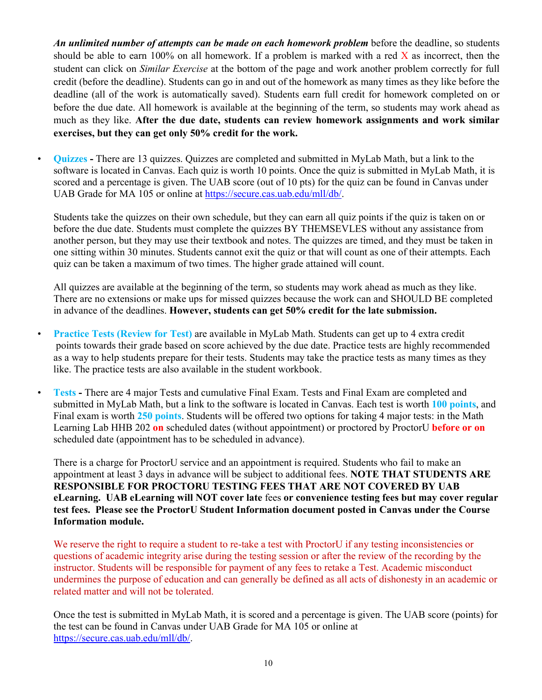*An unlimited number of attempts can be made on each homework problem* before the deadline, so students should be able to earn 100% on all homework. If a problem is marked with a red  $\bar{X}$  as incorrect, then the student can click on *Similar Exercise* at the bottom of the page and work another problem correctly for full credit (before the deadline). Students can go in and out of the homework as many times as they like before the deadline (all of the work is automatically saved). Students earn full credit for homework completed on or before the due date. All homework is available at the beginning of the term, so students may work ahead as much as they like. **After the due date, students can review homework assignments and work similar exercises, but they can get only 50% credit for the work.** 

• **Quizzes -** There are 13 quizzes. Quizzes are completed and submitted in MyLab Math, but a link to the software is located in Canvas. Each quiz is worth 10 points. Once the quiz is submitted in MyLab Math, it is scored and a percentage is given. The UAB score (out of 10 pts) for the quiz can be found in Canvas under UAB Grade for MA 105 or online at [https://secure.cas.uab.edu/mll/db/.](https://secure.cas.uab.edu/mll/db/)

Students take the quizzes on their own schedule, but they can earn all quiz points if the quiz is taken on or before the due date. Students must complete the quizzes BY THEMSEVLES without any assistance from another person, but they may use their textbook and notes. The quizzes are timed, and they must be taken in one sitting within 30 minutes. Students cannot exit the quiz or that will count as one of their attempts. Each quiz can be taken a maximum of two times. The higher grade attained will count.

All quizzes are available at the beginning of the term, so students may work ahead as much as they like. There are no extensions or make ups for missed quizzes because the work can and SHOULD BE completed in advance of the deadlines. **However, students can get 50% credit for the late submission.**

- **Practice Tests (Review for Test)** are available in MyLab Math. Students can get up to 4 extra credit points towards their grade based on score achieved by the due date. Practice tests are highly recommended as a way to help students prepare for their tests. Students may take the practice tests as many times as they like. The practice tests are also available in the student workbook.
- **Tests -** There are 4 major Tests and cumulative Final Exam. Tests and Final Exam are completed and submitted in MyLab Math, but a link to the software is located in Canvas. Each test is worth **100 points**, and Final exam is worth **250 points**. Students will be offered two options for taking 4 major tests: in the Math Learning Lab HHB 202 **on** scheduled dates (without appointment) or proctored by ProctorU **before or on** scheduled date (appointment has to be scheduled in advance).

There is a charge for ProctorU service and an appointment is required. Students who fail to make an appointment at least 3 days in advance will be subject to additional fees. **NOTE THAT STUDENTS ARE RESPONSIBLE FOR PROCTORU TESTING FEES THAT ARE NOT COVERED BY UAB eLearning. UAB eLearning will NOT cover late** fees **or convenience testing fees but may cover regular test fees. Please see the ProctorU Student Information document posted in Canvas under the Course Information module.**

We reserve the right to require a student to re-take a test with ProctorU if any testing inconsistencies or questions of academic integrity arise during the testing session or after the review of the recording by the instructor. Students will be responsible for payment of any fees to retake a Test. Academic misconduct undermines the purpose of education and can generally be defined as all acts of dishonesty in an academic or related matter and will not be tolerated.

Once the test is submitted in MyLab Math, it is scored and a percentage is given. The UAB score (points) for the test can be found in Canvas under UAB Grade for MA 105 or online at https://secure.cas.uab.edu/mll/db/.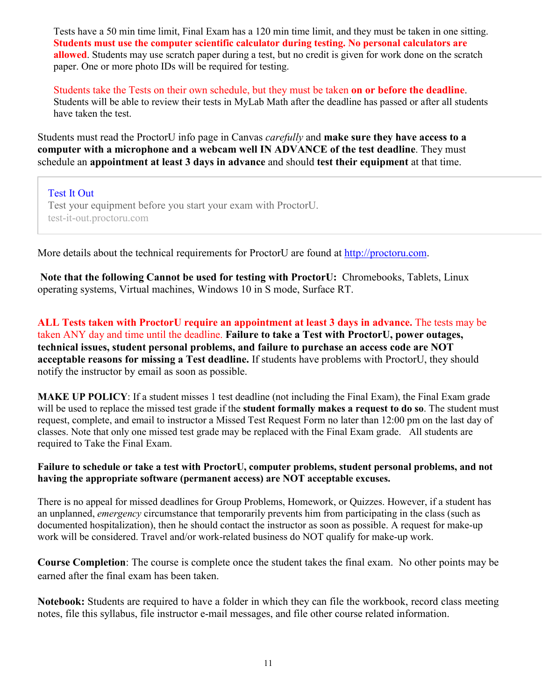Tests have a 50 min time limit, Final Exam has a 120 min time limit, and they must be taken in one sitting. **Students must use the computer scientific calculator during testing. No personal calculators are allowed**. Students may use scratch paper during a test, but no credit is given for work done on the scratch paper. One or more photo IDs will be required for testing.

Students take the Tests on their own schedule, but they must be taken **on or before the deadline**. Students will be able to review their tests in MyLab Math after the deadline has passed or after all students have taken the test.

Students must read the ProctorU info page in Canvas *carefully* and **make sure they have access to a computer with a microphone and a webcam well IN ADVANCE of the test deadline**. They must schedule an **appointment at least 3 days in advance** and should **test their equipment** at that time.

[Test](https://test-it-out.proctoru.com/) It Out

Test your equipment before you start your exam with ProctorU. test-it-out.proctoru.com

More details about the technical requirements for ProctorU are found at [http://proctoru.com.](http://proctoru.com/)

**Note that the following Cannot be used for testing with ProctorU:** Chromebooks, Tablets, Linux operating systems, Virtual machines, Windows 10 in S mode, Surface RT.

**ALL Tests taken with ProctorU require an appointment at least 3 days in advance.** The tests may be taken ANY day and time until the deadline. **Failure to take a Test with ProctorU, power outages, technical issues, student personal problems, and failure to purchase an access code are NOT acceptable reasons for missing a Test deadline.** If students have problems with ProctorU, they should notify the instructor by email as soon as possible.

**MAKE UP POLICY**: If a student misses 1 test deadline (not including the Final Exam), the Final Exam grade will be used to replace the missed test grade if the **student formally makes a request to do so**. The student must request, complete, and email to instructor a Missed Test Request Form no later than 12:00 pm on the last day of classes. Note that only one missed test grade may be replaced with the Final Exam grade. All students are required to Take the Final Exam.

#### **Failure to schedule or take a test with ProctorU, computer problems, student personal problems, and not having the appropriate software (permanent access) are NOT acceptable excuses.**

There is no appeal for missed deadlines for Group Problems, Homework, or Quizzes. However, if a student has an unplanned, *emergency* circumstance that temporarily prevents him from participating in the class (such as documented hospitalization), then he should contact the instructor as soon as possible. A request for make-up work will be considered. Travel and/or work-related business do NOT qualify for make-up work.

**Course Completion**: The course is complete once the student takes the final exam. No other points may be earned after the final exam has been taken.

**Notebook:** Students are required to have a folder in which they can file the workbook, record class meeting notes, file this syllabus, file instructor e-mail messages, and file other course related information.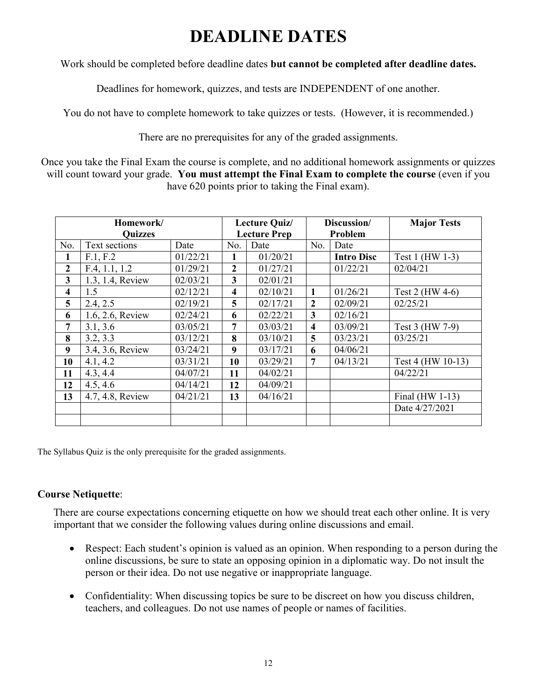# **DEADLINE DATES**

Work should be completed before deadline dates **but cannot be completed after deadline dates.**

Deadlines for homework, quizzes, and tests are INDEPENDENT of one another.

You do not have to complete homework to take quizzes or tests. (However, it is recommended.)

There are no prerequisites for any of the graded assignments.

Once you take the Final Exam the course is complete, and no additional homework assignments or quizzes will count toward your grade. **You must attempt the Final Exam to complete the course** (even if you have 620 points prior to taking the Final exam).

| Homework/      |                  | Lecture Quiz/       |                | Discussion/ |                         | <b>Major Tests</b> |                   |
|----------------|------------------|---------------------|----------------|-------------|-------------------------|--------------------|-------------------|
| <b>Quizzes</b> |                  | <b>Lecture Prep</b> |                | Problem     |                         |                    |                   |
| No.            | Text sections    | Date                | No.            | Date        | No.                     | Date               |                   |
| 1              | F.1, F.2         | 01/22/21            |                | 01/20/21    |                         | <b>Intro Disc</b>  | Test 1 (HW 1-3)   |
| $\overline{2}$ | F.4, 1.1, 1.2    | 01/29/21            | $\overline{2}$ | 01/27/21    |                         | 01/22/21           | 02/04/21          |
| 3              | 1.3, 1.4, Review | 02/03/21            | 3              | 02/01/21    |                         |                    |                   |
| 4              | 1.5              | 02/12/21            | 4              | 02/10/21    | 1                       | 01/26/21           | Test 2 (HW 4-6)   |
| 5              | 2.4, 2.5         | 02/19/21            | 5              | 02/17/21    | $\mathbf{2}$            | 02/09/21           | 02/25/21          |
| 6              | 1.6, 2.6, Review | 02/24/21            | 6              | 02/22/21    | 3                       | 02/16/21           |                   |
| 7              | 3.1, 3.6         | 03/05/21            | 7              | 03/03/21    | $\overline{\mathbf{4}}$ | 03/09/21           | Test 3 (HW 7-9)   |
| 8              | 3.2, 3.3         | 03/12/21            | 8              | 03/10/21    | 5                       | 03/23/21           | 03/25/21          |
| 9              | 3.4, 3.6, Review | 03/24/21            | 9              | 03/17/21    | 6                       | 04/06/21           |                   |
| 10             | 4.1, 4.2         | 03/31/21            | 10             | 03/29/21    | 7                       | 04/13/21           | Test 4 (HW 10-13) |
| 11             | 4.3, 4.4         | 04/07/21            | 11             | 04/02/21    |                         |                    | 04/22/21          |
| 12             | 4.5, 4.6         | 04/14/21            | 12             | 04/09/21    |                         |                    |                   |
| 13             | 4.7, 4.8, Review | 04/21/21            | 13             | 04/16/21    |                         |                    | Final $(HW 1-13)$ |
|                |                  |                     |                |             |                         |                    | Date 4/27/2021    |
|                |                  |                     |                |             |                         |                    |                   |

The Syllabus Quiz is the only prerequisite for the graded assignments.

### **Course Netiquette**:

There are course expectations concerning etiquette on how we should treat each other online. It is very important that we consider the following values during online discussions and email.

- Respect: Each student's opinion is valued as an opinion. When responding to a person during the online discussions, be sure to state an opposing opinion in a diplomatic way. Do not insult the person or their idea. Do not use negative or inappropriate language.
- Confidentiality: When discussing topics be sure to be discreet on how you discuss children, teachers, and colleagues. Do not use names of people or names of facilities.